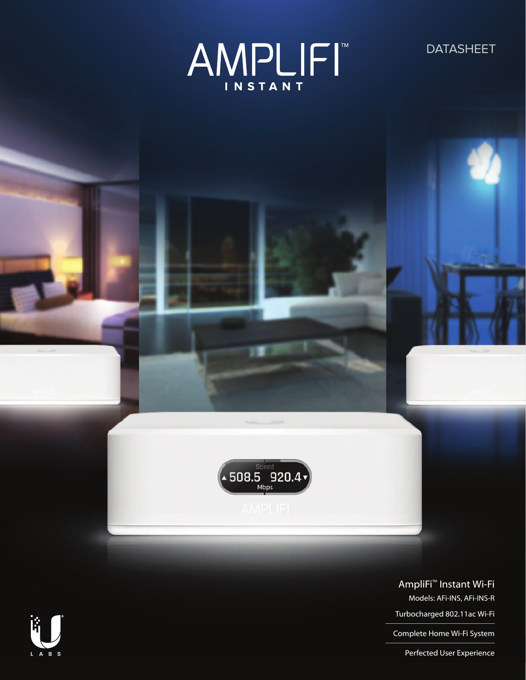

**DATASHEET** 



### AmpliFi™ Instant Wi-Fi

Models: AFi-INS, AFi-INS-R

Turbocharged 802.11ac Wi-Fi

Complete Home Wi-Fi System

Perfected User Experience

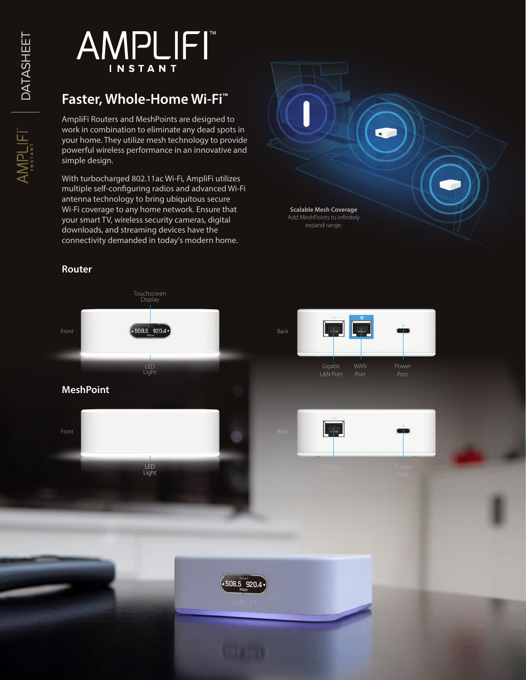AMPLIFI DATASHEET DATASHEET

# **AMPLIFI** INSTANT

# **Faster, Whole-Home Wi-Fi™**

AmpliFi Routers and MeshPoints are designed to work in combination to eliminate any dead spots in your home. They utilize mesh technology to provide powerful wireless performance in an innovative and simple design.

With turbocharged 802.11ac Wi-Fi, AmpliFi utilizes multiple self-configuring radios and advanced Wi-Fi antenna technology to bring ubiquitous secure Wi-Fi coverage to any home network. Ensure that your smart TV, wireless security cameras, digital downloads, and streaming devices have the connectivity demanded in today's modern home.

#### **Router**



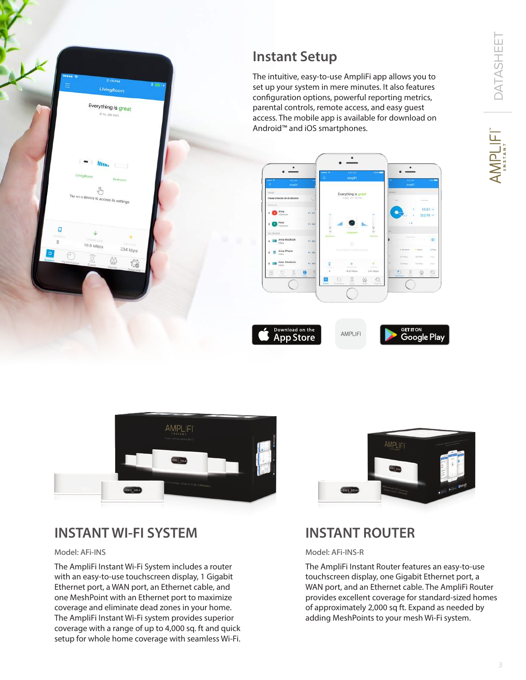**MPLIFIT** 



# **Instant Setup**

The intuitive, easy-to-use AmpliFi app allows you to set up your system in mere minutes. It also features configuration options, powerful reporting metrics, parental controls, remote access, and easy guest access. The mobile app is available for download on Android™ and iOS smartphones.







### **INSTANT WI-FI SYSTEM**

#### Model: AFi-INS

The AmpliFi Instant Wi-Fi System includes a router with an easy-to-use touchscreen display, 1 Gigabit Ethernet port, a WAN port, an Ethernet cable, and one MeshPoint with an Ethernet port to maximize coverage and eliminate dead zones in your home. The AmpliFi Instant Wi-Fi system provides superior coverage with a range of up to 4,000 sq. ft and quick setup for whole home coverage with seamless Wi-Fi.



### **INSTANT ROUTER**

#### Model: AFi-INS-R

The AmpliFi Instant Router features an easy-to-use touchscreen display, one Gigabit Ethernet port, a WAN port, and an Ethernet cable. The AmpliFi Router provides excellent coverage for standard-sized homes of approximately 2,000 sq ft. Expand as needed by adding MeshPoints to your mesh Wi-Fi system.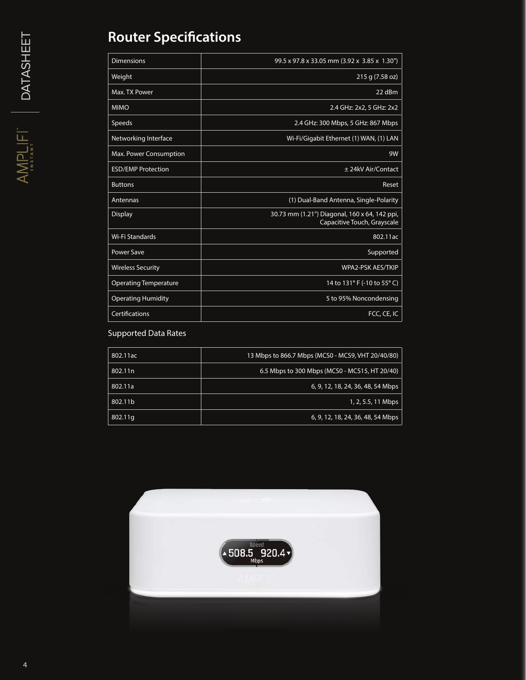# **Router Specifications**

| <b>Dimensions</b>            | 99.5 x 97.8 x 33.05 mm (3.92 x 3.85 x 1.30")                                 |
|------------------------------|------------------------------------------------------------------------------|
| Weight                       | 215 g (7.58 oz)                                                              |
| Max. TX Power                | 22 dBm                                                                       |
| <b>MIMO</b>                  | 2.4 GHz: 2x2, 5 GHz: 2x2                                                     |
| Speeds                       | 2.4 GHz: 300 Mbps, 5 GHz: 867 Mbps                                           |
| Networking Interface         | Wi-Fi/Gigabit Ethernet (1) WAN, (1) LAN                                      |
| Max. Power Consumption       | 9W                                                                           |
| <b>ESD/EMP Protection</b>    | ± 24kV Air/Contact                                                           |
| <b>Buttons</b>               | Reset                                                                        |
| Antennas                     | (1) Dual-Band Antenna, Single-Polarity                                       |
| <b>Display</b>               | 30.73 mm (1.21") Diagonal, 160 x 64, 142 ppi,<br>Capacitive Touch, Grayscale |
| Wi-Fi Standards              | 802.11ac                                                                     |
| <b>Power Save</b>            | Supported                                                                    |
| <b>Wireless Security</b>     | <b>WPA2-PSK AES/TKIP</b>                                                     |
| <b>Operating Temperature</b> | 14 to 131° F (-10 to 55° C)                                                  |
| <b>Operating Humidity</b>    | 5 to 95% Noncondensing                                                       |
| Certifications               | FCC, CE, IC                                                                  |

#### Supported Data Rates

| 802.11ac            | 13 Mbps to 866.7 Mbps (MCS0 - MCS9, VHT 20/40/80) |
|---------------------|---------------------------------------------------|
| 802.11 <sub>n</sub> | 6.5 Mbps to 300 Mbps (MCS0 - MCS15, HT 20/40)     |
| 802.11a             | 6, 9, 12, 18, 24, 36, 48, 54 Mbps                 |
| 802.11b             | $1, 2, 5.5, 11$ Mbps                              |
| 802.11g             | 6, 9, 12, 18, 24, 36, 48, 54 Mbps                 |

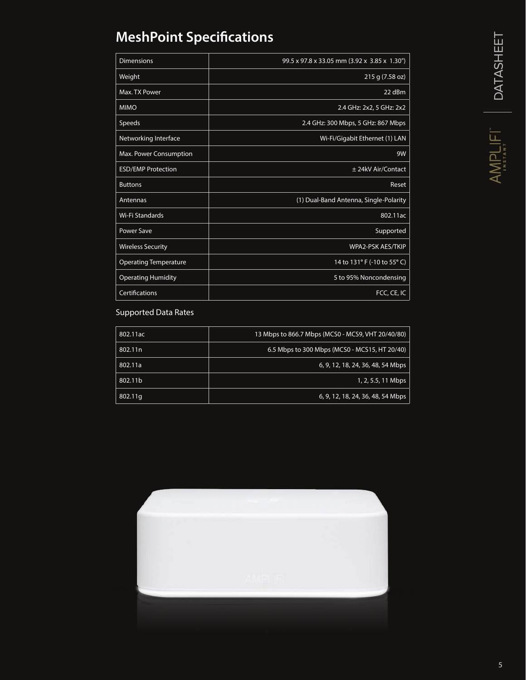# **MeshPoint Specifications**

| <b>Dimensions</b>            | 99.5 x 97.8 x 33.05 mm (3.92 x 3.85 x 1.30") |
|------------------------------|----------------------------------------------|
| Weight                       | 215 g (7.58 oz)                              |
| Max. TX Power                | 22 dBm                                       |
| <b>MIMO</b>                  | 2.4 GHz: 2x2, 5 GHz: 2x2                     |
| Speeds                       | 2.4 GHz: 300 Mbps, 5 GHz: 867 Mbps           |
| Networking Interface         | Wi-Fi/Gigabit Ethernet (1) LAN               |
| Max. Power Consumption       | 9W                                           |
| <b>ESD/EMP Protection</b>    | ± 24kV Air/Contact                           |
| <b>Buttons</b>               | Reset                                        |
| Antennas                     | (1) Dual-Band Antenna, Single-Polarity       |
| Wi-Fi Standards              | 802.11ac                                     |
| Power Save                   | Supported                                    |
| <b>Wireless Security</b>     | WPA2-PSK AES/TKIP                            |
| <b>Operating Temperature</b> | 14 to 131° F (-10 to 55° C)                  |
| <b>Operating Humidity</b>    | 5 to 95% Noncondensing                       |
| Certifications               | FCC, CE, IC                                  |

### Supported Data Rates

| 802.11ac | 13 Mbps to 866.7 Mbps (MCS0 - MCS9, VHT 20/40/80) |
|----------|---------------------------------------------------|
| 802.11n  | 6.5 Mbps to 300 Mbps (MCS0 - MCS15, HT 20/40)     |
| 802.11a  | 6, 9, 12, 18, 24, 36, 48, 54 Mbps                 |
| 802.11b  | 1, 2, 5.5, 11 Mbps                                |
| 802.11g  | 6, 9, 12, 18, 24, 36, 48, 54 Mbps                 |